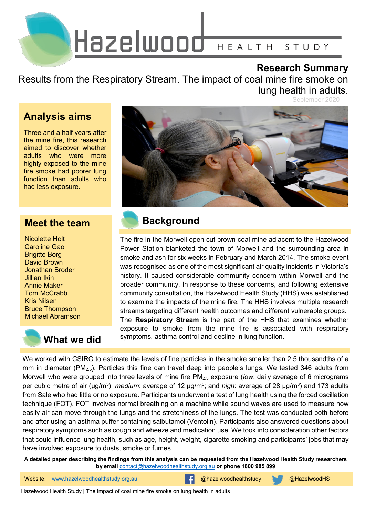

#### **Research Summary**

Results from the Respiratory Stream. The impact of coal mine fire smoke on lung health in adults.

September 2020

### **Analysis aims**

Three and a half years after the mine fire, this research aimed to discover whether adults who were more highly exposed to the mine fire smoke had poorer lung function than adults who had less exposure.

#### **Meet the team**

Nicolette Holt Caroline Gao Brigitte Borg David Brown Jonathan Broder Jillian Ikin Annie Maker Tom McCrabb Kris Nilsen Bruce Thompson Michael Abramson

# **What we did**



### **Background**

The fire in the Morwell open cut brown coal mine adjacent to the Hazelwood Power Station blanketed the town of Morwell and the surrounding area in smoke and ash for six weeks in February and March 2014. The smoke event was recognised as one of the most significant air quality incidents in Victoria's history. It caused considerable community concern within Morwell and the broader community. In response to these concerns, and following extensive community consultation, the Hazelwood Health Study (HHS) was established to examine the impacts of the mine fire. The HHS involves multiple research streams targeting different health outcomes and different vulnerable groups. The **Respiratory Stream** is the part of the HHS that examines whether exposure to smoke from the mine fire is associated with respiratory symptoms, asthma control and decline in lung function.

We worked with CSIRO to estimate the levels of fine particles in the smoke smaller than 2.5 thousandths of a mm in diameter (PM<sub>2.5</sub>). Particles this fine can travel deep into people's lungs. We tested 346 adults from Morwell who were grouped into three levels of mine fire PM<sub>2.5</sub> exposure (low: daily average of 6 micrograms per cubic metre of air (μg/m<sup>3</sup>); *medium*: average of 12 μg/m<sup>3</sup>; and *high*: average of 28 μg/m<sup>3</sup>) and 173 adults from Sale who had little or no exposure. Participants underwent a test of lung health using the forced oscillation technique (FOT). FOT involves normal breathing on a machine while sound waves are used to measure how easily air can move through the lungs and the stretchiness of the lungs. The test was conducted both before and after using an asthma puffer containing salbutamol (Ventolin). Participants also answered questions about respiratory symptoms such as cough and wheeze and medication use. We took into consideration other factors that could influence lung health, such as age, height, weight, cigarette smoking and participants' jobs that may have involved exposure to dusts, smoke or fumes.

**A detailed paper describing the findings from this analysis can be requested from the Hazelwood Health Study researchers by email** [contact@hazelwoodhealthstudy.org.au](mailto:contact@hazelwoodhealthstudy.org.au) **or phone 1800 985 899**

1 Website: [www.hazelwoodhealthstudy.org.au](http://www.hazelwoodhealthstudy.org.au/) @hazelwoodhealthstudy @HazelwoodHS

Hazelwood Health Study | The impact of coal mine fire smoke on lung health in adults